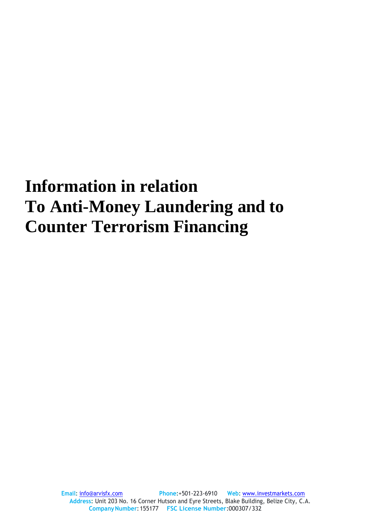## **Information in relation To Anti-Money Laundering and to Counter Terrorism Financing**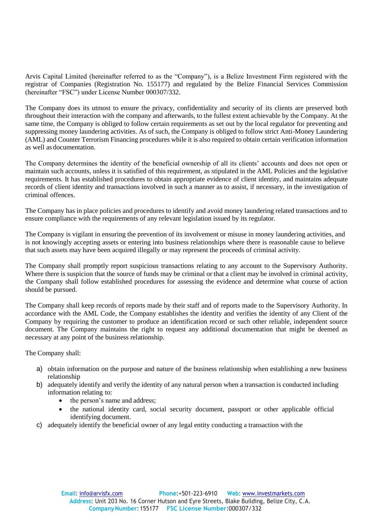Arvis Capital Limited (hereinafter referred to as the "Company"), is a Belize Investment Firm registered with the registrar of Companies (Registration No. 155177) and regulated by the Belize Financial Services Commission (hereinafter "FSC") under License Number 000307/332.

The Company does its utmost to ensure the privacy, confidentiality and security of its clients are preserved both throughout their interaction with the company and afterwards, to the fullest extent achievable by the Company. At the same time, the Company is obliged to follow certain requirements as set out by the local regulator for preventing and suppressing money laundering activities. As of such, the Company is obliged to follow strict Anti-Money Laundering (AML) and Counter Terrorism Financing procedures while it is also required to obtain certain verification information as well as documentation.

The Company determines the identity of the beneficial ownership of all its clients' accounts and does not open or maintain such accounts, unless it is satisfied of this requirement, as stipulated in the AML Policies and the legislative requirements. It has established procedures to obtain appropriate evidence of client identity, and maintains adequate records of client identity and transactions involved in such a manner as to assist, if necessary, in the investigation of criminal offences.

The Company has in place policies and procedures to identify and avoid money laundering related transactions and to ensure compliance with the requirements of any relevant legislation issued by its regulator.

The Company is vigilant in ensuring the prevention of its involvement or misuse in money laundering activities, and is not knowingly accepting assets or entering into business relationships where there is reasonable cause to believe that such assets may have been acquired illegally or may represent the proceeds of criminal activity.

The Company shall promptly report suspicious transactions relating to any account to the Supervisory Authority. Where there is suspicion that the source of funds may be criminal or that a client may be involved in criminal activity, the Company shall follow established procedures for assessing the evidence and determine what course of action should be pursued.

The Company shall keep records of reports made by their staff and of reports made to the Supervisory Authority. In accordance with the AML Code, the Company establishes the identity and verifies the identity of any Client of the Company by requiring the customer to produce an identification record or such other reliable, independent source document. The Company maintains the right to request any additional documentation that might be deemed as necessary at any point of the business relationship.

The Company shall:

- a) obtain information on the purpose and nature of the business relationship when establishing a new business relationship
- b) adequately identify and verify the identity of any natural person when a transaction is conducted including information relating to:
	- the person's name and address;
	- the national identity card, social security document, passport or other applicable official identifying document.
- c) adequately identify the beneficial owner of any legal entity conducting a transaction with the